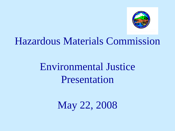

### Hazardous Materials Commission

## Environmental Justice Presentation

May 22, 2008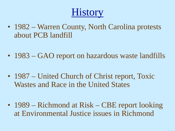## **History**

- 1982 Warren County, North Carolina protests about PCB landfill
- 1983 GAO report on hazardous waste landfills
- 1987 United Church of Christ report, Toxic Wastes and Race in the United States
- 1989 Richmond at Risk CBE report looking at Environmental Justice issues in Richmond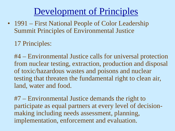### Development of Principles

- 1991 First National People of Color Leadership Summit Principles of Environmental Justice
	- 17 Principles:

#4 – Environmental Justice calls for universal protection from nuclear testing, extraction, production and disposal of toxic/hazardous wastes and poisons and nuclear testing that threaten the fundamental right to clean air, land, water and food.

#7 – Environmental Justice demands the right to participate as equal partners at every level of decisionmaking including needs assessment, planning, implementation, enforcement and evaluation.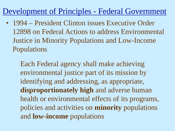#### Development of Principles - Federal Government

• 1994 – President Clinton issues Executive Order 12898 on Federal Actions to address Environmental Justice in Minority Populations and Low-Income Populations

Each Federal agency shall make achieving environmental justice part of its mission by identifying and addressing, as appropriate, **disproportionately high** and adverse human health or environmental effects of its programs, policies and activities on **minority** populations and **low-income** populations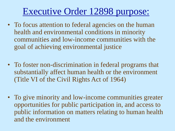### Executive Order 12898 purpose:

- To focus attention to federal agencies on the human health and environmental conditions in minority communities and low-income communities with the goal of achieving environmental justice
- To foster non-discrimination in federal programs that substantially affect human health or the environment (Title VI of the Civil Rights Act of 1964)
- To give minority and low-income communities greater opportunities for public participation in, and access to public information on matters relating to human health and the environment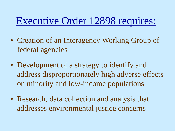## Executive Order 12898 requires:

- Creation of an Interagency Working Group of federal agencies
- Development of a strategy to identify and address disproportionately high adverse effects on minority and low-income populations
- Research, data collection and analysis that addresses environmental justice concerns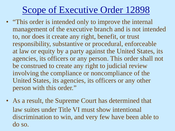### Scope of Executive Order 12898

- "This order is intended only to improve the internal management of the executive branch and is not intended to, nor does it create any right, benefit, or trust responsibility, substantive or procedural, enforceable at law or equity by a party against the United States, its agencies, its officers or any person. This order shall not be construed to create any right to judicial review involving the compliance or noncompliance of the United States, its agencies, its officers or any other person with this order."
- As a result, the Supreme Court has determined that law suites under Title VI must show intentional discrimination to win, and very few have been able to do so.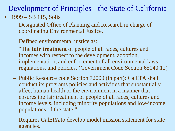- $1999 SB$  115, Solis
	- Designated Office of Planning and Research in charge of coordinating Environmental Justice.
	- Defined environmental justice as:

"The **fair treatment** of people of all races, cultures and incomes with respect to the development, adoption, implementation, and enforcement of all environmental laws, regulations, and policies. (Government Code Section 65040.12)

- Public Resource code Section 72000 (in part): CalEPA shall conduct its programs policies and activities that substantially affect human health or the environment in a manner that ensures the fair treatment of people of all races, cultures and income levels, including minority populations and low-income populations of the state."
- Requires CalEPA to develop model mission statement for state agencies.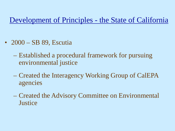- 2000 SB 89, Escutia
	- Established a procedural framework for pursuing environmental justice
	- Created the Interagency Working Group of CalEPA agencies
	- Created the Advisory Committee on Environmental **Justice**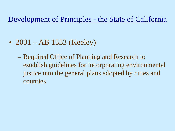- 2001 AB 1553 (Keeley)
	- Required Office of Planning and Research to establish guidelines for incorporating environmental justice into the general plans adopted by cities and counties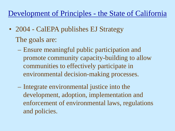- 2004 CalEPA publishes EJ Strategy The goals are:
	- Ensure meaningful public participation and promote community capacity-building to allow communities to effectively participate in environmental decision-making processes.
	- Integrate environmental justice into the development, adoption, implementation and enforcement of environmental laws, regulations and policies.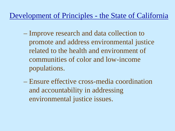- Improve research and data collection to promote and address environmental justice related to the health and environment of communities of color and low-income populations.
- Ensure effective cross-media coordination and accountability in addressing environmental justice issues.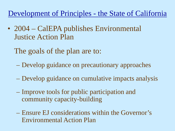- 2004 CalEPA publishes Environmental Justice Action Plan
	- The goals of the plan are to:
		- Develop guidance on precautionary approaches
	- Develop guidance on cumulative impacts analysis
	- Improve tools for public participation and community capacity-building
	- Ensure EJ considerations within the Governor's Environmental Action Plan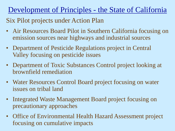Six Pilot projects under Action Plan

- Air Resources Board Pilot in Southern California focusing on emission sources near highways and industrial sources
- Department of Pesticide Regulations project in Central Valley focusing on pesticide issues
- Department of Toxic Substances Control project looking at brownfield remediation
- Water Resources Control Board project focusing on water issues on tribal land
- Integrated Waste Management Board project focusing on precautionary approaches
- Office of Environmental Health Hazard Assessment project focusing on cumulative impacts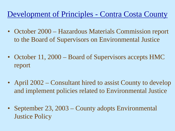- October 2000 Hazardous Materials Commission report to the Board of Supervisors on Environmental Justice
- October 11, 2000 Board of Supervisors accepts HMC report
- April 2002 Consultant hired to assist County to develop and implement policies related to Environmental Justice
- September 23, 2003 County adopts Environmental Justice Policy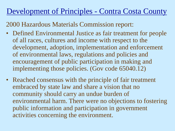2000 Hazardous Materials Commission report:

- Defined Environmental Justice as fair treatment for people of all races, cultures and income with respect to the development, adoption, implementation and enforcement of environmental laws, regulations and policies and encouragement of public participation in making and implementing those policies. (Gov code 65040.12)
- Reached consensus with the principle of fair treatment embraced by state law and share a vision that no community should carry an undue burden of environmental harm. There were no objections to fostering public information and participation in government activities concerning the environment.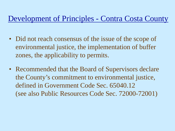- Did not reach consensus of the issue of the scope of environmental justice, the implementation of buffer zones, the applicability to permits.
- Recommended that the Board of Supervisors declare the County's commitment to environmental justice, defined in Government Code Sec. 65040.12 (see also Public Resources Code Sec. 72000-72001)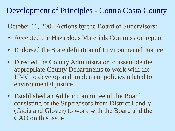October 11, 2000 Actions by the Board of Supervisors:

- Accepted the Hazardous Materials Commission report
- Endorsed the State definition of Environmental Justice
- Directed the County Administrator to assemble the appropriate County Departments to work with the HMC to develop and implement policies related to environmental justice
- Established an Ad hoc committee of the Board consisting of the Supervisors from District I and V (Gioia and Glover) to work with the Board and the CAO on this issue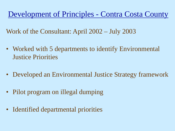Work of the Consultant: April 2002 – July 2003

- Worked with 5 departments to identify Environmental Justice Priorities
- Developed an Environmental Justice Strategy framework
- Pilot program on illegal dumping
- Identified departmental priorities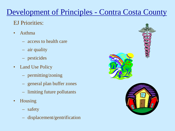#### EJ Priorities:

- Asthma
	- access to health care
	- air quality
	- pesticides
- Land Use Policy
	- permitting/zoning
	- general plan buffer zones
	- limiting future pollutants
- Housing
	- safety
	- displacement/gentrification

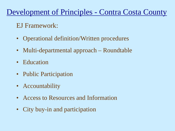#### EJ Framework:

- Operational definition/Written procedures
- Multi-departmental approach Roundtable
- Education
- Public Participation
- Accountability
- Access to Resources and Information
- City buy-in and participation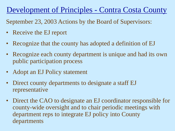September 23, 2003 Actions by the Board of Supervisors:

- Receive the EJ report
- Recognize that the county has adopted a definition of EJ
- Recognize each county department is unique and had its own public participation process
- Adopt an EJ Policy statement
- Direct county departments to designate a staff EJ representative
- Direct the CAO to designate an EJ coordinator responsible for county-wide oversight and to chair periodic meetings with department reps to integrate EJ policy into County departments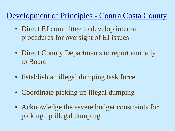- Direct EJ committee to develop internal procedures for oversight of EJ issues
- Direct County Departments to report annually to Board
- Establish an illegal dumping task force
- Coordinate picking up illegal dumping
- Acknowledge the severe budget constraints for picking up illegal dumping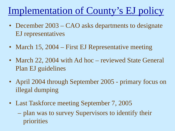## Implementation of County's EJ policy

- December 2003 CAO asks departments to designate EJ representatives
- March 15, 2004 First EJ Representative meeting
- March 22, 2004 with Ad hoc reviewed State General Plan EJ guidelines
- April 2004 through September 2005 primary focus on illegal dumping
- Last Taskforce meeting September 7, 2005
	- plan was to survey Supervisors to identify their priorities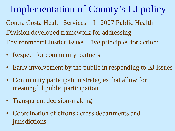## Implementation of County's EJ policy

Contra Costa Health Services – In 2007 Public Health Division developed framework for addressing Environmental Justice issues. Five principles for action:

- Respect for community partners
- Early involvement by the public in responding to EJ issues
- Community participation strategies that allow for meaningful public participation
- Transparent decision-making
- Coordination of efforts across departments and jurisdictions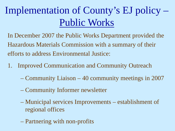## Implementation of County's EJ policy – Public Works

In December 2007 the Public Works Department provided the Hazardous Materials Commission with a summary of their efforts to address Environmental Justice:

- 1. Improved Communication and Community Outreach
	- Community Liaison 40 community meetings in 2007
	- Community Informer newsletter
	- Municipal services Improvements establishment of regional offices
	- Partnering with non-profits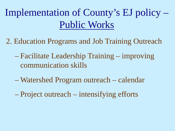Implementation of County's EJ policy – Public Works

- 2. Education Programs and Job Training Outreach
	- Facilitate Leadership Training improving communication skills
	- Watershed Program outreach calendar
	- Project outreach intensifying efforts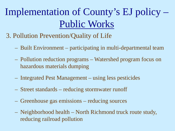# Implementation of County's EJ policy – Public Works

- 3. Pollution Prevention/Quality of Life
	- Built Environment participating in multi-departmental team
	- Pollution reduction programs Watershed program focus on hazardous materials dumping
	- Integrated Pest Management using less pesticides
	- Street standards reducing stormwater runoff
	- Greenhouse gas emissions reducing sources
	- Neighborhood health North Richmond truck route study, reducing railroad pollution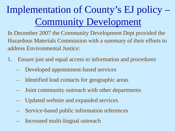# Implementation of County's EJ policy – Community Development

In December 2007 the Community Development Dept provided the Hazardous Materials Commission with a summary of their efforts to address Environmental Justice:

- 1. Ensure just and equal access to information and procedures
	- Developed appointment-based services
	- Identified lead contacts for geographic areas
	- Joint community outreach with other departments
	- Updated website and expanded services
	- Service-based public information references
	- Increased multi-lingual outreach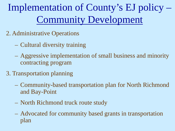Implementation of County's EJ policy – Community Development

- 2. Administrative Operations
	- Cultural diversity training
	- Aggressive implementation of small business and minority contracting program
- 3. Transportation planning
	- Community-based transportation plan for North Richmond and Bay-Point
	- North Richmond truck route study
	- Advocated for community based grants in transportation plan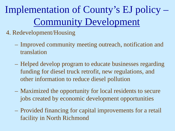Implementation of County's EJ policy – Community Development

- 4. Redevelopment/Housing
	- Improved community meeting outreach, notification and translation
	- Helped develop program to educate businesses regarding funding for diesel truck retrofit, new regulations, and other information to reduce diesel pollution
	- Maximized the opportunity for local residents to secure jobs created by economic development opportunities
	- Provided financing for capital improvements for a retail facility in North Richmond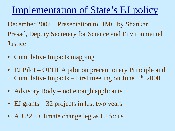### Implementation of State's EJ policy

December 2007 – Presentation to HMC by Shankar Prasad, Deputy Secretary for Science and Environmental **Justice** 

- Cumulative Impacts mapping
- EJ Pilot OEHHA pilot on precautionary Principle and Cumulative Impacts – First meeting on June  $5<sup>th</sup>$ , 2008
- Advisory Body not enough applicants
- EJ grants 32 projects in last two years
- AB 32 Climate change leg as EJ focus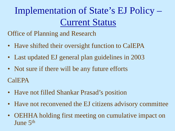Implementation of State's EJ Policy – Current Status

Office of Planning and Research

- Have shifted their oversight function to CalEPA
- Last updated EJ general plan guidelines in 2003
- Not sure if there will be any future efforts CalEPA
- Have not filled Shankar Prasad's position
- Have not reconvened the EJ citizens advisory committee
- OEHHA holding first meeting on cumulative impact on June 5th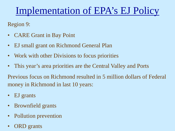## Implementation of EPA's EJ Policy

Region 9:

- CARE Grant in Bay Point
- EJ small grant on Richmond General Plan
- Work with other Divisions to focus priorities
- This year's area priorities are the Central Valley and Ports

Previous focus on Richmond resulted in 5 million dollars of Federal money in Richmond in last 10 years:

- EJ grants
- Brownfield grants
- Pollution prevention
- ORD grants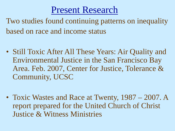### Present Research

Two studies found continuing patterns on inequality based on race and income status

- Still Toxic After All These Years: Air Quality and Environmental Justice in the San Francisco Bay Area. Feb. 2007, Center for Justice, Tolerance & Community, UCSC
- Toxic Wastes and Race at Twenty, 1987 2007. A report prepared for the United Church of Christ Justice & Witness Ministries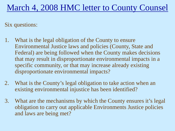### March 4, 2008 HMC letter to County Counsel

Six questions:

- 1. What is the legal obligation of the County to ensure Environmental Justice laws and policies (County, State and Federal) are being followed when the County makes decisions that may result in disproportionate environmental impacts in a specific community, or that may increase already existing disproportionate environmental impacts?
- 2. What is the County's legal obligation to take action when an existing environmental injustice has been identified?
- 3. What are the mechanisms by which the County ensures it's legal obligation to carry out applicable Environments Justice policies and laws are being met?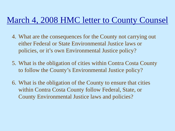#### March 4, 2008 HMC letter to County Counsel

- 4. What are the consequences for the County not carrying out either Federal or State Environmental Justice laws or policies, or it's own Environmental Justice policy?
- 5. What is the obligation of cities within Contra Costa County to follow the County's Environmental Justice policy?
- 6. What is the obligation of the County to ensure that cities within Contra Costa County follow Federal, State, or County Environmental Justice laws and policies?